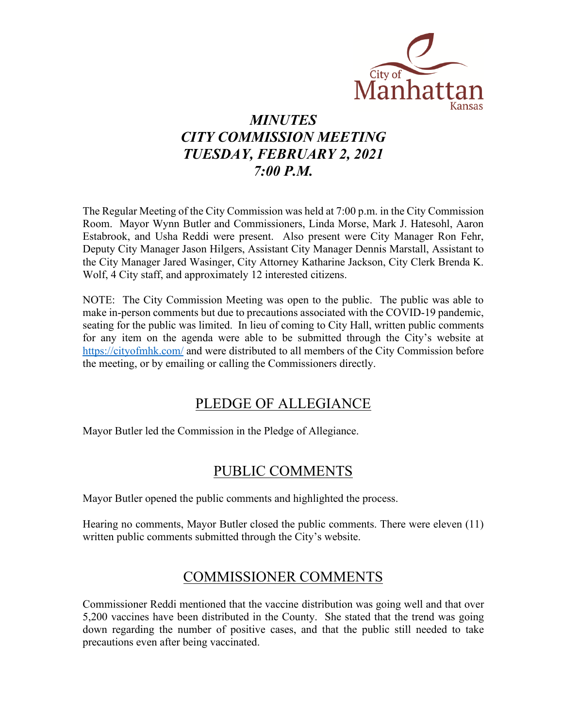

# *MINUTES CITY COMMISSION MEETING TUESDAY, FEBRUARY 2, 2021 7:00 P.M.*

The Regular Meeting of the City Commission was held at 7:00 p.m. in the City Commission Room. Mayor Wynn Butler and Commissioners, Linda Morse, Mark J. Hatesohl, Aaron Estabrook, and Usha Reddi were present. Also present were City Manager Ron Fehr, Deputy City Manager Jason Hilgers, Assistant City Manager Dennis Marstall, Assistant to the City Manager Jared Wasinger, City Attorney Katharine Jackson, City Clerk Brenda K. Wolf, 4 City staff, and approximately 12 interested citizens.

NOTE: The City Commission Meeting was open to the public. The public was able to make in-person comments but due to precautions associated with the COVID-19 pandemic, seating for the public was limited. In lieu of coming to City Hall, written public comments for any item on the agenda were able to be submitted through the City's website at [https://cityofmhk.com/](https://cityofmhk.com/and) and were distributed to all members of the City Commission before the meeting, or by emailing or calling the Commissioners directly.

# PLEDGE OF ALLEGIANCE

Mayor Butler led the Commission in the Pledge of Allegiance.

# PUBLIC COMMENTS

Mayor Butler opened the public comments and highlighted the process.

Hearing no comments, Mayor Butler closed the public comments. There were eleven (11) written public comments submitted through the City's website.

## COMMISSIONER COMMENTS

Commissioner Reddi mentioned that the vaccine distribution was going well and that over 5,200 vaccines have been distributed in the County. She stated that the trend was going down regarding the number of positive cases, and that the public still needed to take precautions even after being vaccinated.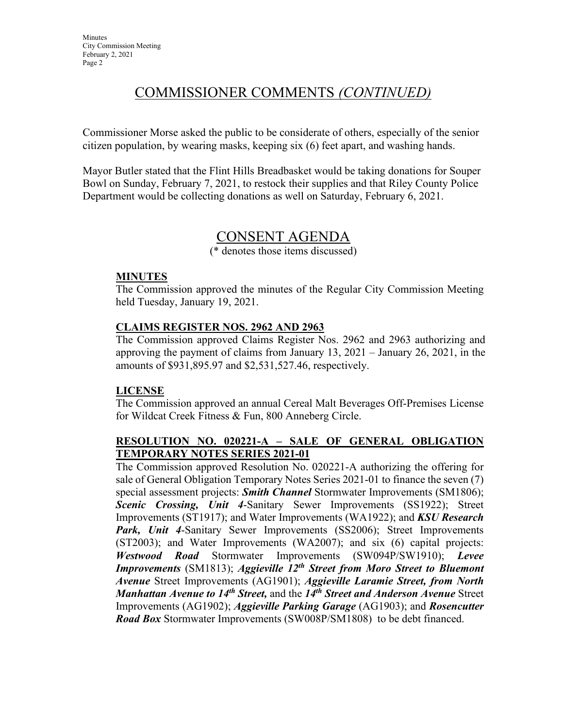# COMMISSIONER COMMENTS *(CONTINUED)*

Commissioner Morse asked the public to be considerate of others, especially of the senior citizen population, by wearing masks, keeping six (6) feet apart, and washing hands.

Mayor Butler stated that the Flint Hills Breadbasket would be taking donations for Souper Bowl on Sunday, February 7, 2021, to restock their supplies and that Riley County Police Department would be collecting donations as well on Saturday, February 6, 2021.

## CONSENT AGENDA

(\* denotes those items discussed)

### **MINUTES**

The Commission approved the minutes of the Regular City Commission Meeting held Tuesday, January 19, 2021.

### **CLAIMS REGISTER NOS. 2962 AND 2963**

The Commission approved Claims Register Nos. 2962 and 2963 authorizing and approving the payment of claims from January 13, 2021 – January 26, 2021, in the amounts of \$931,895.97 and \$2,531,527.46, respectively.

### **LICENSE**

The Commission approved an annual Cereal Malt Beverages Off-Premises License for Wildcat Creek Fitness & Fun, 800 Anneberg Circle.

### **RESOLUTION NO. 020221-A – SALE OF GENERAL OBLIGATION TEMPORARY NOTES SERIES 2021-01**

The Commission approved Resolution No. 020221-A authorizing the offering for sale of General Obligation Temporary Notes Series 2021-01 to finance the seven (7) special assessment projects: *Smith Channel* Stormwater Improvements (SM1806); *Scenic Crossing, Unit 4*-Sanitary Sewer Improvements (SS1922); Street Improvements (ST1917); and Water Improvements (WA1922); and *KSU Research*  Park, Unit 4-Sanitary Sewer Improvements (SS2006); Street Improvements (ST2003); and Water Improvements (WA2007); and six (6) capital projects: *Westwood Road* Stormwater Improvements (SW094P/SW1910); *Levee Improvements* (SM1813); *Aggieville 12th Street from Moro Street to Bluemont Avenue* Street Improvements (AG1901); *Aggieville Laramie Street, from North Manhattan Avenue to 14th Street,* and the *14th Street and Anderson Avenue* Street Improvements (AG1902); *Aggieville Parking Garage* (AG1903); and *Rosencutter Road Box* Stormwater Improvements (SW008P/SM1808) to be debt financed.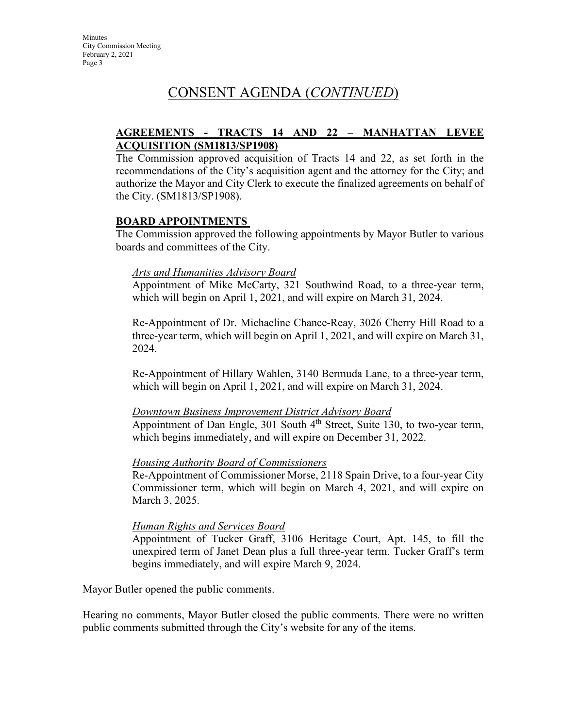# CONSENT AGENDA (*CONTINUED*)

### **AGREEMENTS - TRACTS 14 AND 22 – MANHATTAN LEVEE ACQUISITION (SM1813/SP1908)**

The Commission approved acquisition of Tracts 14 and 22, as set forth in the recommendations of the City's acquisition agent and the attorney for the City; and authorize the Mayor and City Clerk to execute the finalized agreements on behalf of the City. (SM1813/SP1908).

### **BOARD APPOINTMENTS**

The Commission approved the following appointments by Mayor Butler to various boards and committees of the City.

### *Arts and Humanities Advisory Board*

Appointment of Mike McCarty, 321 Southwind Road, to a three-year term, which will begin on April 1, 2021, and will expire on March 31, 2024.

Re-Appointment of Dr. Michaeline Chance-Reay, 3026 Cherry Hill Road to a three-year term, which will begin on April 1, 2021, and will expire on March 31, 2024.

Re-Appointment of Hillary Wahlen, 3140 Bermuda Lane, to a three-year term, which will begin on April 1, 2021, and will expire on March 31, 2024.

#### *Downtown Business Improvement District Advisory Board*

Appointment of Dan Engle, 301 South  $4<sup>th</sup>$  Street, Suite 130, to two-year term, which begins immediately, and will expire on December 31, 2022.

#### *Housing Authority Board of Commissioners*

Re-Appointment of Commissioner Morse, 2118 Spain Drive, to a four-year City Commissioner term, which will begin on March 4, 2021, and will expire on March 3, 2025.

#### *Human Rights and Services Board*

Appointment of Tucker Graff, 3106 Heritage Court, Apt. 145, to fill the unexpired term of Janet Dean plus a full three-year term. Tucker Graff's term begins immediately, and will expire March 9, 2024.

Mayor Butler opened the public comments.

Hearing no comments, Mayor Butler closed the public comments. There were no written public comments submitted through the City's website for any of the items.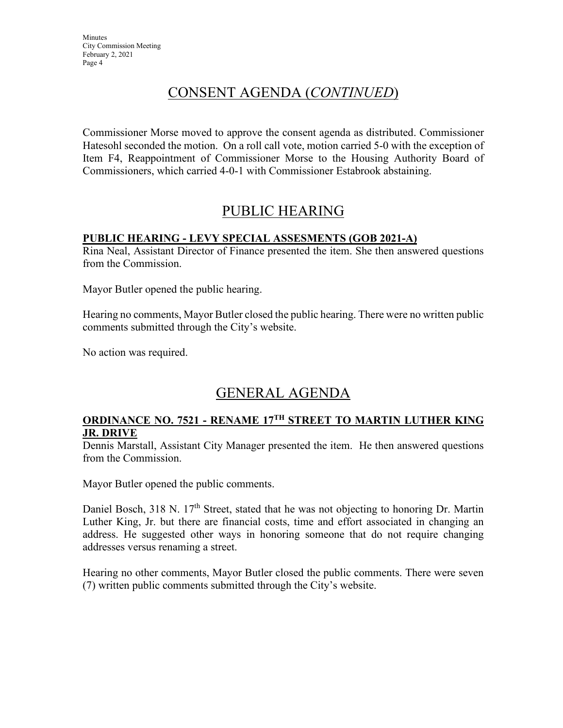# CONSENT AGENDA (*CONTINUED*)

Commissioner Morse moved to approve the consent agenda as distributed. Commissioner Hatesohl seconded the motion. On a roll call vote, motion carried 5-0 with the exception of Item F4, Reappointment of Commissioner Morse to the Housing Authority Board of Commissioners, which carried 4-0-1 with Commissioner Estabrook abstaining.

# PUBLIC HEARING

### **PUBLIC HEARING - LEVY SPECIAL ASSESMENTS (GOB 2021-A)**

Rina Neal, Assistant Director of Finance presented the item. She then answered questions from the Commission.

Mayor Butler opened the public hearing.

Hearing no comments, Mayor Butler closed the public hearing. There were no written public comments submitted through the City's website.

No action was required.

# GENERAL AGENDA

### **ORDINANCE NO. 7521 - RENAME 17TH STREET TO MARTIN LUTHER KING JR. DRIVE**

Dennis Marstall, Assistant City Manager presented the item. He then answered questions from the Commission.

Mayor Butler opened the public comments.

Daniel Bosch, 318 N. 17<sup>th</sup> Street, stated that he was not objecting to honoring Dr. Martin Luther King, Jr. but there are financial costs, time and effort associated in changing an address. He suggested other ways in honoring someone that do not require changing addresses versus renaming a street.

Hearing no other comments, Mayor Butler closed the public comments. There were seven (7) written public comments submitted through the City's website.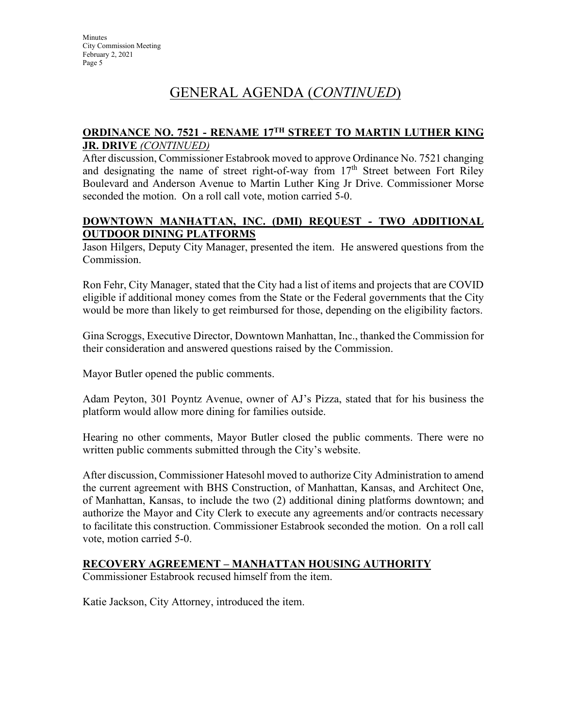# GENERAL AGENDA (*CONTINUED*)

### **ORDINANCE NO. 7521 - RENAME 17TH STREET TO MARTIN LUTHER KING JR. DRIVE** *(CONTINUED)*

After discussion, Commissioner Estabrook moved to approve Ordinance No. 7521 changing and designating the name of street right-of-way from  $17<sup>th</sup>$  Street between Fort Riley Boulevard and Anderson Avenue to Martin Luther King Jr Drive. Commissioner Morse seconded the motion. On a roll call vote, motion carried 5-0.

### **DOWNTOWN MANHATTAN, INC. (DMI) REQUEST - TWO ADDITIONAL OUTDOOR DINING PLATFORMS**

Jason Hilgers, Deputy City Manager, presented the item. He answered questions from the Commission.

Ron Fehr, City Manager, stated that the City had a list of items and projects that are COVID eligible if additional money comes from the State or the Federal governments that the City would be more than likely to get reimbursed for those, depending on the eligibility factors.

Gina Scroggs, Executive Director, Downtown Manhattan, Inc., thanked the Commission for their consideration and answered questions raised by the Commission.

Mayor Butler opened the public comments.

Adam Peyton, 301 Poyntz Avenue, owner of AJ's Pizza, stated that for his business the platform would allow more dining for families outside.

Hearing no other comments, Mayor Butler closed the public comments. There were no written public comments submitted through the City's website.

After discussion, Commissioner Hatesohl moved to authorize City Administration to amend the current agreement with BHS Construction, of Manhattan, Kansas, and Architect One, of Manhattan, Kansas, to include the two (2) additional dining platforms downtown; and authorize the Mayor and City Clerk to execute any agreements and/or contracts necessary to facilitate this construction. Commissioner Estabrook seconded the motion. On a roll call vote, motion carried 5-0.

### **RECOVERY AGREEMENT – MANHATTAN HOUSING AUTHORITY**

Commissioner Estabrook recused himself from the item.

Katie Jackson, City Attorney, introduced the item.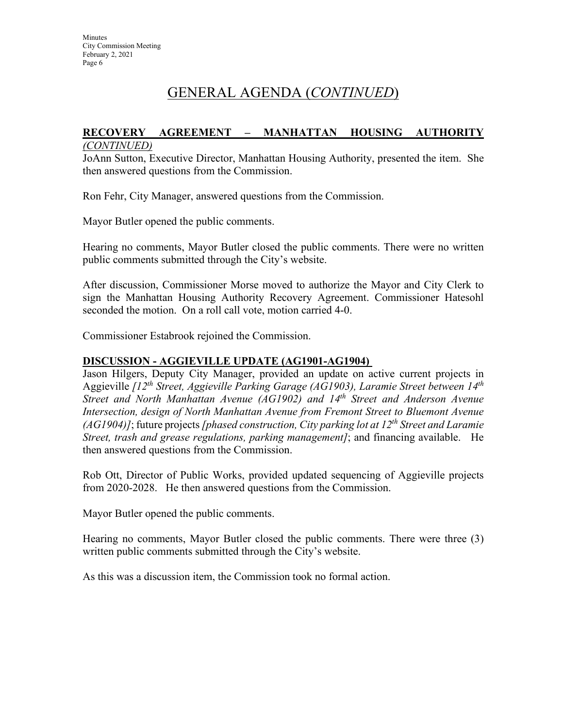# GENERAL AGENDA (*CONTINUED*)

#### **RECOVERY AGREEMENT – MANHATTAN HOUSING AUTHORITY**  *(CONTINUED)*

JoAnn Sutton, Executive Director, Manhattan Housing Authority, presented the item. She then answered questions from the Commission.

Ron Fehr, City Manager, answered questions from the Commission.

Mayor Butler opened the public comments.

Hearing no comments, Mayor Butler closed the public comments. There were no written public comments submitted through the City's website.

After discussion, Commissioner Morse moved to authorize the Mayor and City Clerk to sign the Manhattan Housing Authority Recovery Agreement. Commissioner Hatesohl seconded the motion. On a roll call vote, motion carried 4-0.

Commissioner Estabrook rejoined the Commission.

#### **DISCUSSION - AGGIEVILLE UPDATE (AG1901-AG1904)**

Jason Hilgers, Deputy City Manager, provided an update on active current projects in Aggieville *[12th Street, Aggieville Parking Garage (AG1903), Laramie Street between 14th Street and North Manhattan Avenue (AG1902) and 14th Street and Anderson Avenue Intersection, design of North Manhattan Avenue from Fremont Street to Bluemont Avenue (AG1904)]*; future projects *[phased construction, City parking lot at 12th Street and Laramie Street, trash and grease regulations, parking management]*; and financing available. He then answered questions from the Commission.

Rob Ott, Director of Public Works, provided updated sequencing of Aggieville projects from 2020-2028. He then answered questions from the Commission.

Mayor Butler opened the public comments.

Hearing no comments, Mayor Butler closed the public comments. There were three (3) written public comments submitted through the City's website.

As this was a discussion item, the Commission took no formal action.